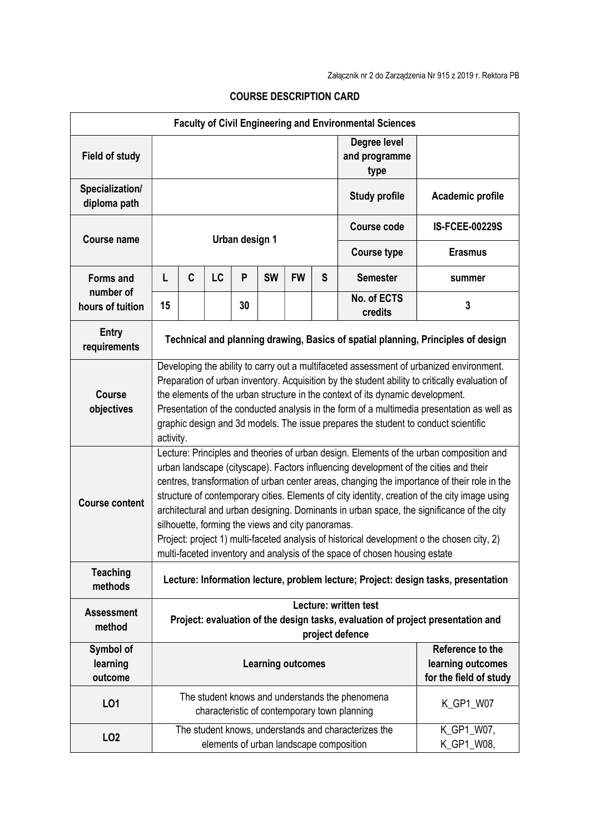| <b>Faculty of Civil Engineering and Environmental Sciences</b> |                                                                                                                                                                                                                                                                                                                                                                                                                                                                                                                                                                                                                                                                                                               |   |    |    |           |           |                                                                 |                                                                                                 |                          |
|----------------------------------------------------------------|---------------------------------------------------------------------------------------------------------------------------------------------------------------------------------------------------------------------------------------------------------------------------------------------------------------------------------------------------------------------------------------------------------------------------------------------------------------------------------------------------------------------------------------------------------------------------------------------------------------------------------------------------------------------------------------------------------------|---|----|----|-----------|-----------|-----------------------------------------------------------------|-------------------------------------------------------------------------------------------------|--------------------------|
| <b>Field of study</b>                                          |                                                                                                                                                                                                                                                                                                                                                                                                                                                                                                                                                                                                                                                                                                               |   |    |    |           |           |                                                                 | Degree level<br>and programme<br>type                                                           |                          |
| Specialization/<br>diploma path                                |                                                                                                                                                                                                                                                                                                                                                                                                                                                                                                                                                                                                                                                                                                               |   |    |    |           |           | <b>Study profile</b>                                            | Academic profile                                                                                |                          |
| <b>Course name</b>                                             |                                                                                                                                                                                                                                                                                                                                                                                                                                                                                                                                                                                                                                                                                                               |   |    |    |           |           | <b>Course code</b>                                              | <b>IS-FCEE-00229S</b>                                                                           |                          |
|                                                                | Urban design 1                                                                                                                                                                                                                                                                                                                                                                                                                                                                                                                                                                                                                                                                                                |   |    |    |           |           |                                                                 | <b>Course type</b>                                                                              | <b>Erasmus</b>           |
| <b>Forms and</b><br>number of                                  | L                                                                                                                                                                                                                                                                                                                                                                                                                                                                                                                                                                                                                                                                                                             | C | LC | P  | <b>SW</b> | <b>FW</b> | S                                                               | <b>Semester</b>                                                                                 | summer                   |
| hours of tuition                                               | 15                                                                                                                                                                                                                                                                                                                                                                                                                                                                                                                                                                                                                                                                                                            |   |    | 30 |           |           |                                                                 | No. of ECTS<br>credits                                                                          | 3                        |
| <b>Entry</b><br>requirements                                   | Technical and planning drawing, Basics of spatial planning, Principles of design                                                                                                                                                                                                                                                                                                                                                                                                                                                                                                                                                                                                                              |   |    |    |           |           |                                                                 |                                                                                                 |                          |
| <b>Course</b><br>objectives                                    | Developing the ability to carry out a multifaceted assessment of urbanized environment.<br>Preparation of urban inventory. Acquisition by the student ability to critically evaluation of<br>the elements of the urban structure in the context of its dynamic development.<br>Presentation of the conducted analysis in the form of a multimedia presentation as well as<br>graphic design and 3d models. The issue prepares the student to conduct scientific<br>activity.                                                                                                                                                                                                                                  |   |    |    |           |           |                                                                 |                                                                                                 |                          |
| <b>Course content</b>                                          | Lecture: Principles and theories of urban design. Elements of the urban composition and<br>urban landscape (cityscape). Factors influencing development of the cities and their<br>centres, transformation of urban center areas, changing the importance of their role in the<br>structure of contemporary cities. Elements of city identity, creation of the city image using<br>architectural and urban designing. Dominants in urban space, the significance of the city<br>silhouette, forming the views and city panoramas.<br>Project: project 1) multi-faceted analysis of historical development o the chosen city, 2)<br>multi-faceted inventory and analysis of the space of chosen housing estate |   |    |    |           |           |                                                                 |                                                                                                 |                          |
| <b>Teaching</b><br>methods                                     | Lecture: Information lecture, problem lecture; Project: design tasks, presentation                                                                                                                                                                                                                                                                                                                                                                                                                                                                                                                                                                                                                            |   |    |    |           |           |                                                                 |                                                                                                 |                          |
| <b>Assessment</b><br>method                                    | Lecture: written test<br>Project: evaluation of the design tasks, evaluation of project presentation and<br>project defence                                                                                                                                                                                                                                                                                                                                                                                                                                                                                                                                                                                   |   |    |    |           |           |                                                                 |                                                                                                 |                          |
| Symbol of<br>learning<br>outcome                               | <b>Learning outcomes</b>                                                                                                                                                                                                                                                                                                                                                                                                                                                                                                                                                                                                                                                                                      |   |    |    |           |           | Reference to the<br>learning outcomes<br>for the field of study |                                                                                                 |                          |
| LO1                                                            |                                                                                                                                                                                                                                                                                                                                                                                                                                                                                                                                                                                                                                                                                                               |   |    |    |           |           |                                                                 | The student knows and understands the phenomena<br>characteristic of contemporary town planning | K_GP1_W07                |
| LO <sub>2</sub>                                                |                                                                                                                                                                                                                                                                                                                                                                                                                                                                                                                                                                                                                                                                                                               |   |    |    |           |           |                                                                 | The student knows, understands and characterizes the<br>elements of urban landscape composition | K_GP1_W07,<br>K_GP1_W08, |

## COURSE DESCRIPTION CARD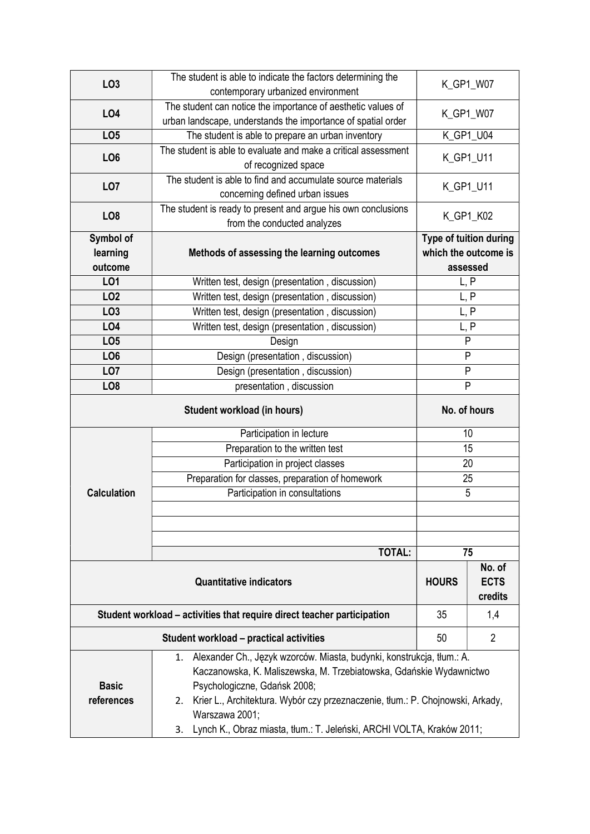|                    | The student is able to indicate the factors determining the                                            | K_GP1_W07              |                       |  |
|--------------------|--------------------------------------------------------------------------------------------------------|------------------------|-----------------------|--|
| LO <sub>3</sub>    | contemporary urbanized environment                                                                     |                        |                       |  |
| LO <sub>4</sub>    | The student can notice the importance of aesthetic values of                                           | K_GP1_W07              |                       |  |
|                    | urban landscape, understands the importance of spatial order                                           |                        |                       |  |
| LO <sub>5</sub>    | The student is able to prepare an urban inventory                                                      |                        | K_GP1_U04             |  |
| LO <sub>6</sub>    | The student is able to evaluate and make a critical assessment                                         | K_GP1_U11              |                       |  |
|                    | of recognized space                                                                                    |                        |                       |  |
| LO <sub>7</sub>    | The student is able to find and accumulate source materials                                            | K_GP1_U11              |                       |  |
|                    | concerning defined urban issues                                                                        |                        |                       |  |
| LO <sub>8</sub>    | The student is ready to present and argue his own conclusions                                          | K_GP1_K02              |                       |  |
|                    | from the conducted analyzes                                                                            |                        |                       |  |
| Symbol of          |                                                                                                        | Type of tuition during |                       |  |
| learning           | Methods of assessing the learning outcomes                                                             | which the outcome is   |                       |  |
| outcome            |                                                                                                        | assessed               |                       |  |
| LO1                | Written test, design (presentation, discussion)                                                        |                        | L, P                  |  |
| LO <sub>2</sub>    | Written test, design (presentation, discussion)                                                        | L, P                   |                       |  |
| LO <sub>3</sub>    | Written test, design (presentation, discussion)                                                        | L, P                   |                       |  |
| LO4                | Written test, design (presentation, discussion)                                                        | L, P                   |                       |  |
| LO <sub>5</sub>    | Design                                                                                                 | P                      |                       |  |
| LO <sub>6</sub>    | Design (presentation, discussion)                                                                      | P                      |                       |  |
| LO <sub>7</sub>    | Design (presentation, discussion)                                                                      | P                      |                       |  |
| LO <sub>8</sub>    | presentation, discussion                                                                               | P                      |                       |  |
|                    | No. of hours                                                                                           |                        |                       |  |
|                    | Participation in lecture                                                                               | 10                     |                       |  |
|                    |                                                                                                        |                        |                       |  |
|                    | Preparation to the written test                                                                        |                        | 15                    |  |
|                    | Participation in project classes                                                                       | 20                     |                       |  |
|                    | Preparation for classes, preparation of homework                                                       | 25                     |                       |  |
| <b>Calculation</b> | Participation in consultations                                                                         | 5                      |                       |  |
|                    |                                                                                                        |                        |                       |  |
|                    |                                                                                                        |                        |                       |  |
|                    |                                                                                                        |                        |                       |  |
|                    | <b>TOTAL:</b>                                                                                          |                        | 75                    |  |
|                    | <b>Quantitative indicators</b>                                                                         | <b>HOURS</b>           | No. of<br><b>ECTS</b> |  |
|                    |                                                                                                        |                        | credits               |  |
|                    | Student workload – activities that require direct teacher participation                                | 35                     | 1,4                   |  |
|                    | Student workload – practical activities                                                                | 50                     | 2                     |  |
|                    | Alexander Ch., Język wzorców. Miasta, budynki, konstrukcja, tłum.: A.<br>1.                            |                        |                       |  |
|                    | Kaczanowska, K. Maliszewska, M. Trzebiatowska, Gdańskie Wydawnictwo                                    |                        |                       |  |
| <b>Basic</b>       | Psychologiczne, Gdańsk 2008;                                                                           |                        |                       |  |
| references         | Krier L., Architektura. Wybór czy przeznaczenie, tłum.: P. Chojnowski, Arkady,<br>2.<br>Warszawa 2001; |                        |                       |  |